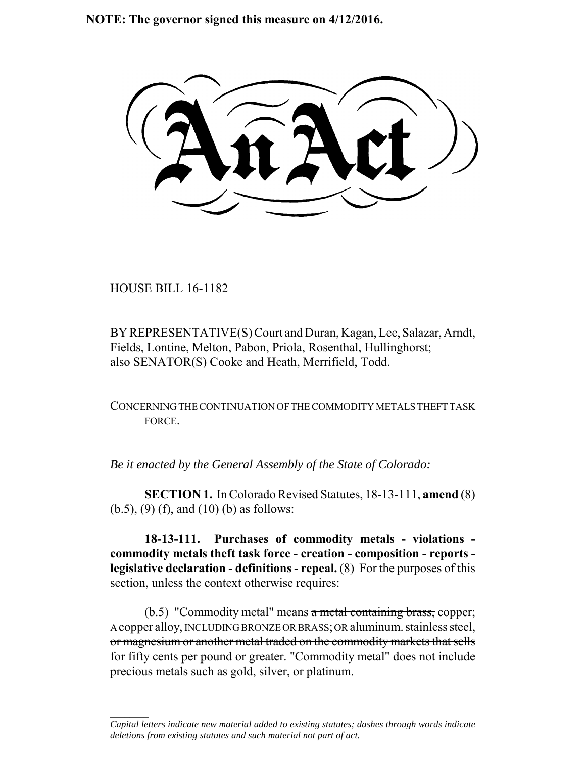**NOTE: The governor signed this measure on 4/12/2016.**

HOUSE BILL 16-1182

 $\frac{1}{2}$ 

BY REPRESENTATIVE(S) Court and Duran, Kagan, Lee, Salazar, Arndt, Fields, Lontine, Melton, Pabon, Priola, Rosenthal, Hullinghorst; also SENATOR(S) Cooke and Heath, Merrifield, Todd.

CONCERNING THE CONTINUATION OF THE COMMODITY METALS THEFT TASK FORCE.

*Be it enacted by the General Assembly of the State of Colorado:*

**SECTION 1.** In Colorado Revised Statutes, 18-13-111, **amend** (8) (b.5), (9) (f), and (10) (b) as follows:

**18-13-111. Purchases of commodity metals - violations commodity metals theft task force - creation - composition - reports legislative declaration - definitions - repeal.** (8) For the purposes of this section, unless the context otherwise requires:

 $(b.5)$  "Commodity metal" means a metal containing brass, copper; A copper alloy, INCLUDING BRONZE OR BRASS; OR aluminum. stainless steel, or magnesium or another metal traded on the commodity markets that sells for fifty cents per pound or greater. "Commodity metal" does not include precious metals such as gold, silver, or platinum.

*Capital letters indicate new material added to existing statutes; dashes through words indicate deletions from existing statutes and such material not part of act.*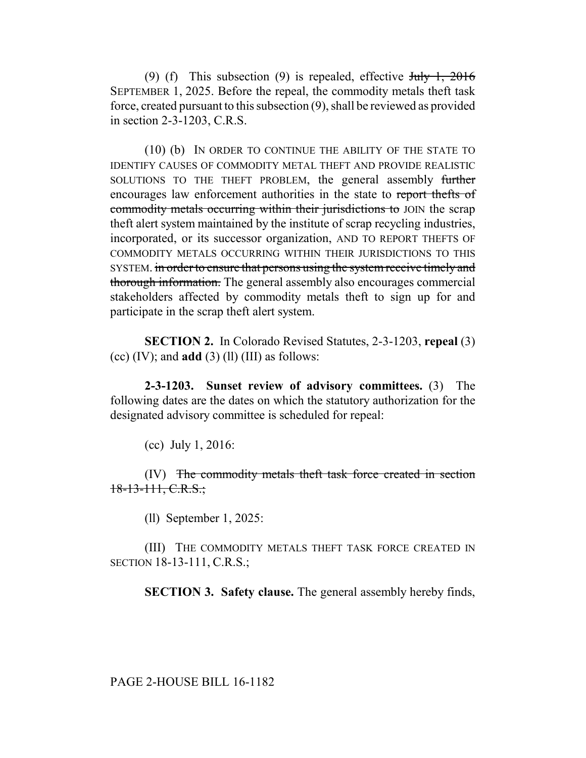(9) (f) This subsection (9) is repealed, effective  $\frac{\text{turb}}{\text{t}}$ ,  $\frac{1}{2016}$ SEPTEMBER 1, 2025. Before the repeal, the commodity metals theft task force, created pursuant to this subsection (9), shall be reviewed as provided in section 2-3-1203, C.R.S.

(10) (b) IN ORDER TO CONTINUE THE ABILITY OF THE STATE TO IDENTIFY CAUSES OF COMMODITY METAL THEFT AND PROVIDE REALISTIC SOLUTIONS TO THE THEFT PROBLEM, the general assembly further encourages law enforcement authorities in the state to report thefts of commodity metals occurring within their jurisdictions to JOIN the scrap theft alert system maintained by the institute of scrap recycling industries, incorporated, or its successor organization, AND TO REPORT THEFTS OF COMMODITY METALS OCCURRING WITHIN THEIR JURISDICTIONS TO THIS SYSTEM. in order to ensure that persons using the system receive timely and thorough information. The general assembly also encourages commercial stakeholders affected by commodity metals theft to sign up for and participate in the scrap theft alert system.

**SECTION 2.** In Colorado Revised Statutes, 2-3-1203, **repeal** (3) (cc)  $(IV)$ ; and **add**  $(3)$   $(11)$   $(III)$  as follows:

**2-3-1203. Sunset review of advisory committees.** (3) The following dates are the dates on which the statutory authorization for the designated advisory committee is scheduled for repeal:

(cc) July 1, 2016:

(IV) The commodity metals theft task force created in section 18-13-111, C.R.S.;

(ll) September 1, 2025:

(III) THE COMMODITY METALS THEFT TASK FORCE CREATED IN SECTION 18-13-111, C.R.S.;

**SECTION 3. Safety clause.** The general assembly hereby finds,

PAGE 2-HOUSE BILL 16-1182